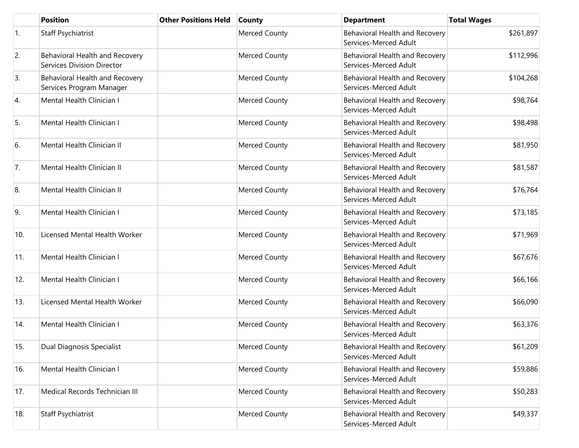|     | <b>Position</b>                                                     | <b>Other Positions Held</b> | <b>County</b>        | <b>Department</b>                                       | <b>Total Wages</b> |
|-----|---------------------------------------------------------------------|-----------------------------|----------------------|---------------------------------------------------------|--------------------|
| 1.  | Staff Psychiatrist                                                  |                             | <b>Merced County</b> | Behavioral Health and Recovery<br>Services-Merced Adult | \$261,897          |
| 2.  | Behavioral Health and Recovery<br><b>Services Division Director</b> |                             | Merced County        | Behavioral Health and Recovery<br>Services-Merced Adult | \$112,996          |
| 3.  | Behavioral Health and Recovery<br>Services Program Manager          |                             | Merced County        | Behavioral Health and Recovery<br>Services-Merced Adult | \$104,268          |
| 4.  | Mental Health Clinician I                                           |                             | Merced County        | Behavioral Health and Recovery<br>Services-Merced Adult | \$98,764           |
| 5.  | Mental Health Clinician I                                           |                             | <b>Merced County</b> | Behavioral Health and Recovery<br>Services-Merced Adult | \$98,498           |
| 6.  | Mental Health Clinician II                                          |                             | Merced County        | Behavioral Health and Recovery<br>Services-Merced Adult | \$81,950           |
| 7.  | Mental Health Clinician II                                          |                             | Merced County        | Behavioral Health and Recovery<br>Services-Merced Adult | \$81,587           |
| 8.  | Mental Health Clinician II                                          |                             | <b>Merced County</b> | Behavioral Health and Recovery<br>Services-Merced Adult | \$76,764           |
| 9.  | Mental Health Clinician I                                           |                             | <b>Merced County</b> | Behavioral Health and Recovery<br>Services-Merced Adult | \$73,185           |
| 10. | Licensed Mental Health Worker                                       |                             | <b>Merced County</b> | Behavioral Health and Recovery<br>Services-Merced Adult | \$71,969           |
| 11. | Mental Health Clinician I                                           |                             | Merced County        | Behavioral Health and Recovery<br>Services-Merced Adult | \$67,676           |
| 12. | Mental Health Clinician I                                           |                             | <b>Merced County</b> | Behavioral Health and Recovery<br>Services-Merced Adult | \$66,166           |
| 13. | Licensed Mental Health Worker                                       |                             | <b>Merced County</b> | Behavioral Health and Recovery<br>Services-Merced Adult | \$66,090           |
| 14. | Mental Health Clinician I                                           |                             | <b>Merced County</b> | Behavioral Health and Recovery<br>Services-Merced Adult | \$63,376           |
| 15. | Dual Diagnosis Specialist                                           |                             | <b>Merced County</b> | Behavioral Health and Recovery<br>Services-Merced Adult | \$61,209           |
| 16. | Mental Health Clinician I                                           |                             | <b>Merced County</b> | Behavioral Health and Recovery<br>Services-Merced Adult | \$59,886           |
| 17. | Medical Records Technician III                                      |                             | Merced County        | Behavioral Health and Recovery<br>Services-Merced Adult | \$50,283           |
| 18. | <b>Staff Psychiatrist</b>                                           |                             | <b>Merced County</b> | Behavioral Health and Recovery<br>Services-Merced Adult | \$49,337           |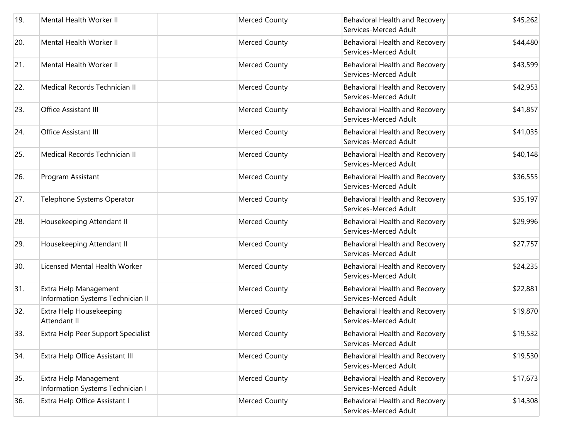| 19. | Mental Health Worker II                                    | <b>Merced County</b> | Behavioral Health and Recovery<br>Services-Merced Adult | \$45,262 |
|-----|------------------------------------------------------------|----------------------|---------------------------------------------------------|----------|
| 20. | Mental Health Worker II                                    | <b>Merced County</b> | Behavioral Health and Recovery<br>Services-Merced Adult | \$44,480 |
| 21. | Mental Health Worker II                                    | <b>Merced County</b> | Behavioral Health and Recovery<br>Services-Merced Adult | \$43,599 |
| 22. | Medical Records Technician II                              | <b>Merced County</b> | Behavioral Health and Recovery<br>Services-Merced Adult | \$42,953 |
| 23. | Office Assistant III                                       | <b>Merced County</b> | Behavioral Health and Recovery<br>Services-Merced Adult | \$41,857 |
| 24. | <b>Office Assistant III</b>                                | <b>Merced County</b> | Behavioral Health and Recovery<br>Services-Merced Adult | \$41,035 |
| 25. | Medical Records Technician II                              | <b>Merced County</b> | Behavioral Health and Recovery<br>Services-Merced Adult | \$40,148 |
| 26. | Program Assistant                                          | <b>Merced County</b> | Behavioral Health and Recovery<br>Services-Merced Adult | \$36,555 |
| 27. | Telephone Systems Operator                                 | <b>Merced County</b> | Behavioral Health and Recovery<br>Services-Merced Adult | \$35,197 |
| 28. | Housekeeping Attendant II                                  | <b>Merced County</b> | Behavioral Health and Recovery<br>Services-Merced Adult | \$29,996 |
| 29. | Housekeeping Attendant II                                  | <b>Merced County</b> | Behavioral Health and Recovery<br>Services-Merced Adult | \$27,757 |
| 30. | Licensed Mental Health Worker                              | Merced County        | Behavioral Health and Recovery<br>Services-Merced Adult | \$24,235 |
| 31. | Extra Help Management<br>Information Systems Technician II | <b>Merced County</b> | Behavioral Health and Recovery<br>Services-Merced Adult | \$22,881 |
| 32. | Extra Help Housekeeping<br>Attendant II                    | <b>Merced County</b> | Behavioral Health and Recovery<br>Services-Merced Adult | \$19,870 |
| 33. | Extra Help Peer Support Specialist                         | <b>Merced County</b> | Behavioral Health and Recovery<br>Services-Merced Adult | \$19,532 |
| 34. | Extra Help Office Assistant III                            | <b>Merced County</b> | Behavioral Health and Recovery<br>Services-Merced Adult | \$19,530 |
| 35. | Extra Help Management<br>Information Systems Technician I  | <b>Merced County</b> | Behavioral Health and Recovery<br>Services-Merced Adult | \$17,673 |
| 36. | Extra Help Office Assistant I                              | <b>Merced County</b> | Behavioral Health and Recovery<br>Services-Merced Adult | \$14,308 |